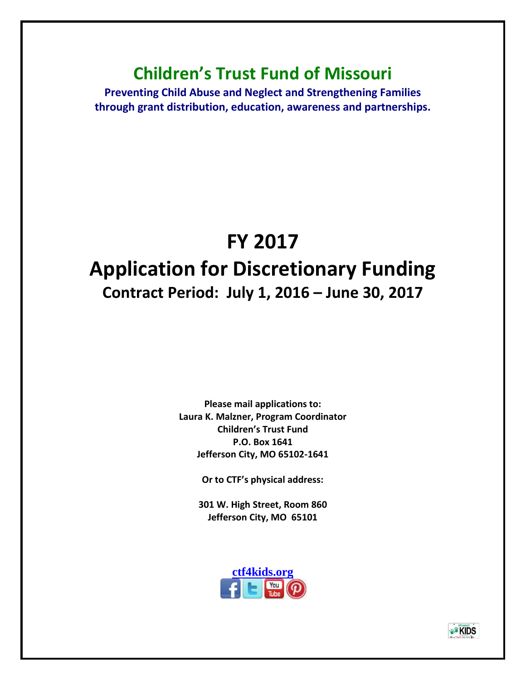## **Children's Trust Fund of Missouri**

**Preventing Child Abuse and Neglect and Strengthening Families through grant distribution, education, awareness and partnerships.**

# **FY 2017 Application for Discretionary Funding Contract Period: July 1, 2016 – June 30, 2017**

**Please mail applications to: Laura K. Malzner, Program Coordinator Children's Trust Fund P.O. Box 1641 Jefferson City, MO 65102-1641**

**Or to CTF's physical address:**

**301 W. High Street, Room 860 Jefferson City, MO 65101**



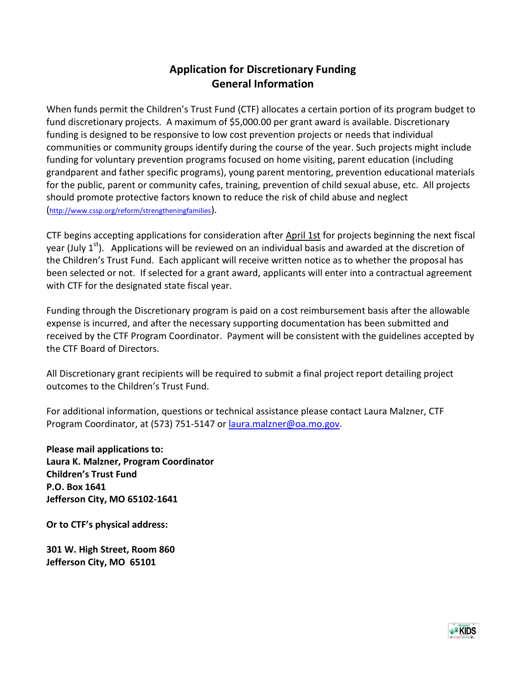#### **Application for Discretionary Funding General Information**

When funds permit the Children's Trust Fund (CTF) allocates a certain portion of its program budget to fund discretionary projects. A maximum of \$5,000.00 per grant award is available. Discretionary funding is designed to be responsive to low cost prevention projects or needs that individual communities or community groups identify during the course of the year. Such projects might include funding for voluntary prevention programs focused on home visiting, parent education (including grandparent and father specific programs), young parent mentoring, prevention educational materials for the public, parent or community cafes, training, prevention of child sexual abuse, etc. All projects should promote protective factors known to reduce the risk of child abuse and neglect (<http://www.cssp.org/reform/strengtheningfamilies>).

CTF begins accepting applications for consideration after April 1st for projects beginning the next fiscal year (July  $1<sup>st</sup>$ ). Applications will be reviewed on an individual basis and awarded at the discretion of the Children's Trust Fund. Each applicant will receive written notice as to whether the proposal has been selected or not. If selected for a grant award, applicants will enter into a contractual agreement with CTF for the designated state fiscal year.

Funding through the Discretionary program is paid on a cost reimbursement basis after the allowable expense is incurred, and after the necessary supporting documentation has been submitted and received by the CTF Program Coordinator. Payment will be consistent with the guidelines accepted by the CTF Board of Directors.

All Discretionary grant recipients will be required to submit a final project report detailing project outcomes to the Children's Trust Fund.

For additional information, questions or technical assistance please contact Laura Malzner, CTF Program Coordinator, at (573) 751-5147 or [laura.malzner@oa.mo.gov.](mailto:kirk.schreiber@oa.mo.gov)

**Please mail applications to: Laura K. Malzner, Program Coordinator Children's Trust Fund P.O. Box 1641 Jefferson City, MO 65102-1641**

**Or to CTF's physical address:**

**301 W. High Street, Room 860 Jefferson City, MO 65101**

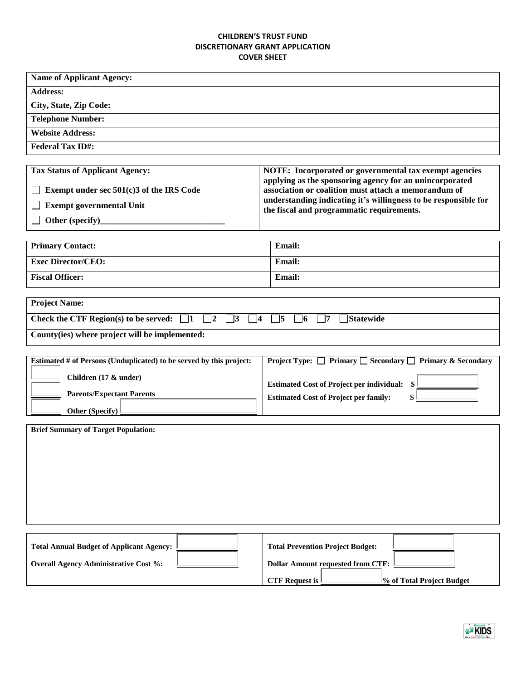#### **CHILDREN'S TRUST FUND DISCRETIONARY GRANT APPLICATION COVER SHEET**

| <b>Name of Applicant Agency:</b> |  |
|----------------------------------|--|
| <b>Address:</b>                  |  |
| City, State, Zip Code:           |  |
| <b>Telephone Number:</b>         |  |
| <b>Website Address:</b>          |  |
| <b>Federal Tax ID#:</b>          |  |

| <b>Tax Status of Applicant Agency:</b>     | NOTE: Incorporated or governmental tax exempt agencies                                                          |
|--------------------------------------------|-----------------------------------------------------------------------------------------------------------------|
| Exempt under sec $501(c)3$ of the IRS Code | applying as the sponsoring agency for an unincorporated<br>association or coalition must attach a memorandum of |
| <b>Exempt governmental Unit</b>            | understanding indicating it's willingness to be responsible for<br>the fiscal and programmatic requirements.    |
| Other (specify)                            |                                                                                                                 |

| <b>Primary Contact:</b>   | <b>Email:</b> |
|---------------------------|---------------|
| <b>Exec Director/CEO:</b> | <b>Email:</b> |
| <b>Fiscal Officer:</b>    | <b>Email:</b> |

| <b>Project Name:</b>                                                                                                                               |  |  |
|----------------------------------------------------------------------------------------------------------------------------------------------------|--|--|
| Check the CTF Region(s) to be served: $\begin{array}{ c c }$   1<br>$\vert 2 \vert$<br><b>Statewide</b><br>  5   16<br>$\vert$ 3 $\vert$ 4 $\vert$ |  |  |
| County(ies) where project will be implemented:                                                                                                     |  |  |

| Estimated # of Persons (Unduplicated) to be served by this project: | <b>Project Type:</b> $\Box$ Primary $\Box$ Secondary $\Box$ Primary & Secondary |
|---------------------------------------------------------------------|---------------------------------------------------------------------------------|
| Children (17 & under)                                               | <b>Estimated Cost of Project per individual:</b>                                |
| <b>Parents/Expectant Parents</b>                                    | <b>Estimated Cost of Project per family:</b>                                    |
| Other (Specify) $\mathbb{I}$                                        |                                                                                 |

| <b>Brief Summary of Target Population:</b> |                                         |  |
|--------------------------------------------|-----------------------------------------|--|
|                                            |                                         |  |
|                                            |                                         |  |
|                                            |                                         |  |
|                                            |                                         |  |
|                                            |                                         |  |
| Total Annual Budget of Applicant Agency:   | <b>Total Prevention Project Budget:</b> |  |

| Total Annual Budget of Applicant Agency:     | Total Prevention Project Budget:                                           |
|----------------------------------------------|----------------------------------------------------------------------------|
| <b>Overall Agency Administrative Cost %:</b> | <b>Dollar Amount requested from CTF:</b>                                   |
|                                              | <b>CTF Request is <math>\mathbb{I}</math></b><br>% of Total Project Budget |

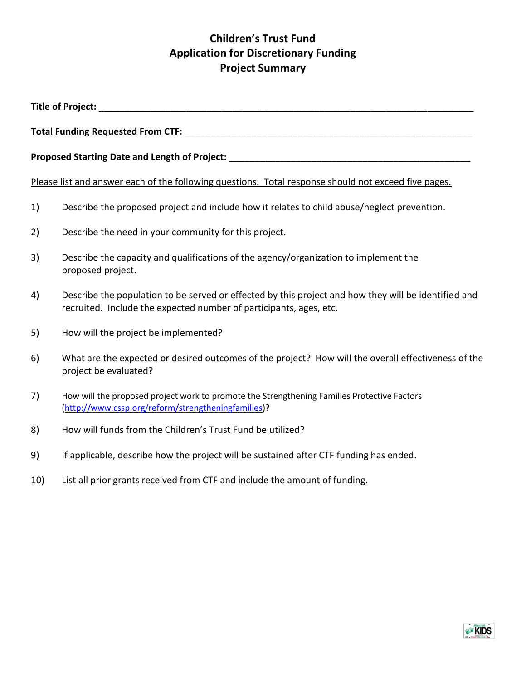## **Children's Trust Fund Application for Discretionary Funding Project Summary**

| <b>Title of Project:</b> Title of Project: |                                                                                                                                                                            |  |  |
|--------------------------------------------|----------------------------------------------------------------------------------------------------------------------------------------------------------------------------|--|--|
|                                            |                                                                                                                                                                            |  |  |
|                                            |                                                                                                                                                                            |  |  |
|                                            | Please list and answer each of the following questions. Total response should not exceed five pages.                                                                       |  |  |
| 1)                                         | Describe the proposed project and include how it relates to child abuse/neglect prevention.                                                                                |  |  |
| 2)                                         | Describe the need in your community for this project.                                                                                                                      |  |  |
| 3)                                         | Describe the capacity and qualifications of the agency/organization to implement the<br>proposed project.                                                                  |  |  |
| 4)                                         | Describe the population to be served or effected by this project and how they will be identified and<br>recruited. Include the expected number of participants, ages, etc. |  |  |
| 5)                                         | How will the project be implemented?                                                                                                                                       |  |  |
| 6)                                         | What are the expected or desired outcomes of the project? How will the overall effectiveness of the<br>project be evaluated?                                               |  |  |
| 7)                                         | How will the proposed project work to promote the Strengthening Families Protective Factors<br>(http://www.cssp.org/reform/strengtheningfamilies)?                         |  |  |
| 8)                                         | How will funds from the Children's Trust Fund be utilized?                                                                                                                 |  |  |
| 9)                                         | If applicable, describe how the project will be sustained after CTF funding has ended.                                                                                     |  |  |

- 
- 10) List all prior grants received from CTF and include the amount of funding.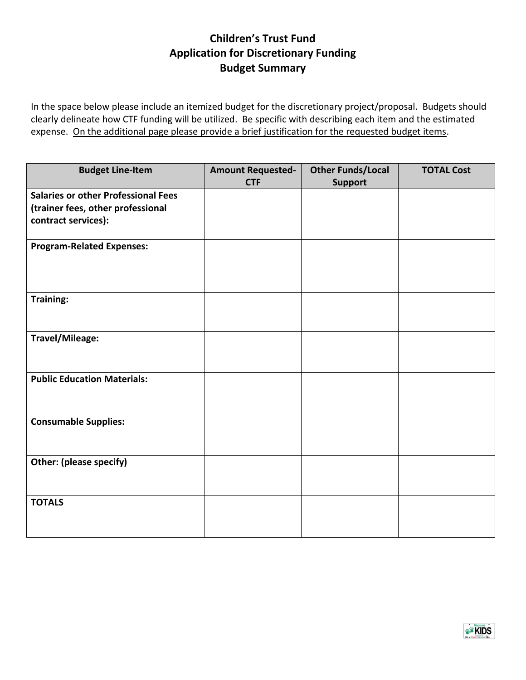### **Children's Trust Fund Application for Discretionary Funding Budget Summary**

In the space below please include an itemized budget for the discretionary project/proposal. Budgets should clearly delineate how CTF funding will be utilized. Be specific with describing each item and the estimated expense. On the additional page please provide a brief justification for the requested budget items.

| <b>Budget Line-Item</b>                    | <b>Amount Requested-</b> | <b>Other Funds/Local</b> | <b>TOTAL Cost</b> |
|--------------------------------------------|--------------------------|--------------------------|-------------------|
|                                            | <b>CTF</b>               | <b>Support</b>           |                   |
| <b>Salaries or other Professional Fees</b> |                          |                          |                   |
| (trainer fees, other professional          |                          |                          |                   |
| contract services):                        |                          |                          |                   |
|                                            |                          |                          |                   |
| <b>Program-Related Expenses:</b>           |                          |                          |                   |
|                                            |                          |                          |                   |
|                                            |                          |                          |                   |
|                                            |                          |                          |                   |
| Training:                                  |                          |                          |                   |
|                                            |                          |                          |                   |
|                                            |                          |                          |                   |
| Travel/Mileage:                            |                          |                          |                   |
|                                            |                          |                          |                   |
|                                            |                          |                          |                   |
| <b>Public Education Materials:</b>         |                          |                          |                   |
|                                            |                          |                          |                   |
|                                            |                          |                          |                   |
|                                            |                          |                          |                   |
| <b>Consumable Supplies:</b>                |                          |                          |                   |
|                                            |                          |                          |                   |
|                                            |                          |                          |                   |
| <b>Other: (please specify)</b>             |                          |                          |                   |
|                                            |                          |                          |                   |
|                                            |                          |                          |                   |
| <b>TOTALS</b>                              |                          |                          |                   |
|                                            |                          |                          |                   |
|                                            |                          |                          |                   |

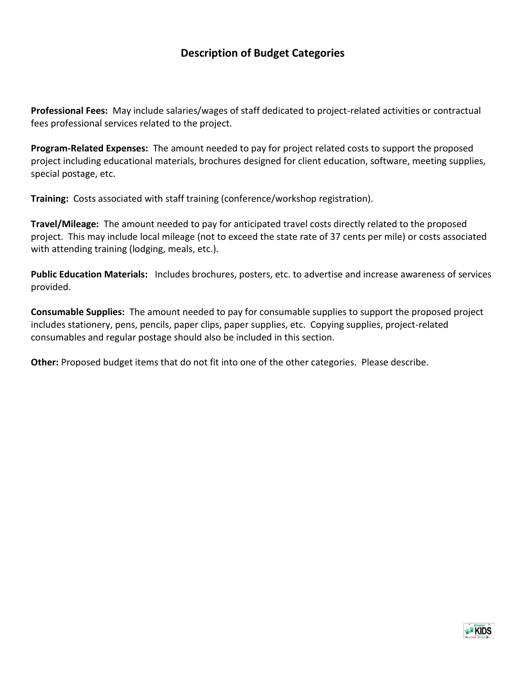#### **Description of Budget Categories**

**Professional Fees:** May include salaries/wages of staff dedicated to project-related activities or contractual fees professional services related to the project.

**Program-Related Expenses:** The amount needed to pay for project related costs to support the proposed project including educational materials, brochures designed for client education, software, meeting supplies, special postage, etc.

**Training:** Costs associated with staff training (conference/workshop registration).

**Travel/Mileage:** The amount needed to pay for anticipated travel costs directly related to the proposed project. This may include local mileage (not to exceed the state rate of 37 cents per mile) or costs associated with attending training (lodging, meals, etc.).

**Public Education Materials:** Includes brochures, posters, etc. to advertise and increase awareness of services provided.

**Consumable Supplies:** The amount needed to pay for consumable supplies to support the proposed project includes stationery, pens, pencils, paper clips, paper supplies, etc. Copying supplies, project-related consumables and regular postage should also be included in this section.

**Other:** Proposed budget items that do not fit into one of the other categories. Please describe.

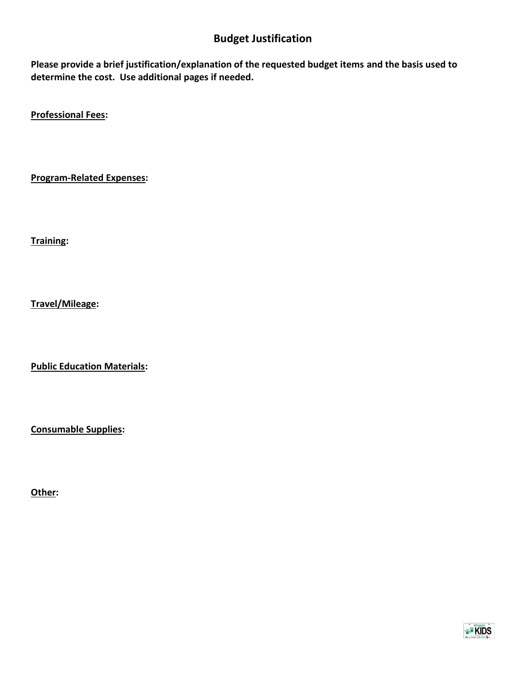### **Budget Justification**

**Please provide a brief justification/explanation of the requested budget items and the basis used to determine the cost. Use additional pages if needed.**

**Professional Fees:** 

**Program-Related Expenses:** 

**Training:** 

**Travel/Mileage:** 

**Public Education Materials:** 

**Consumable Supplies:** 

**Other:**